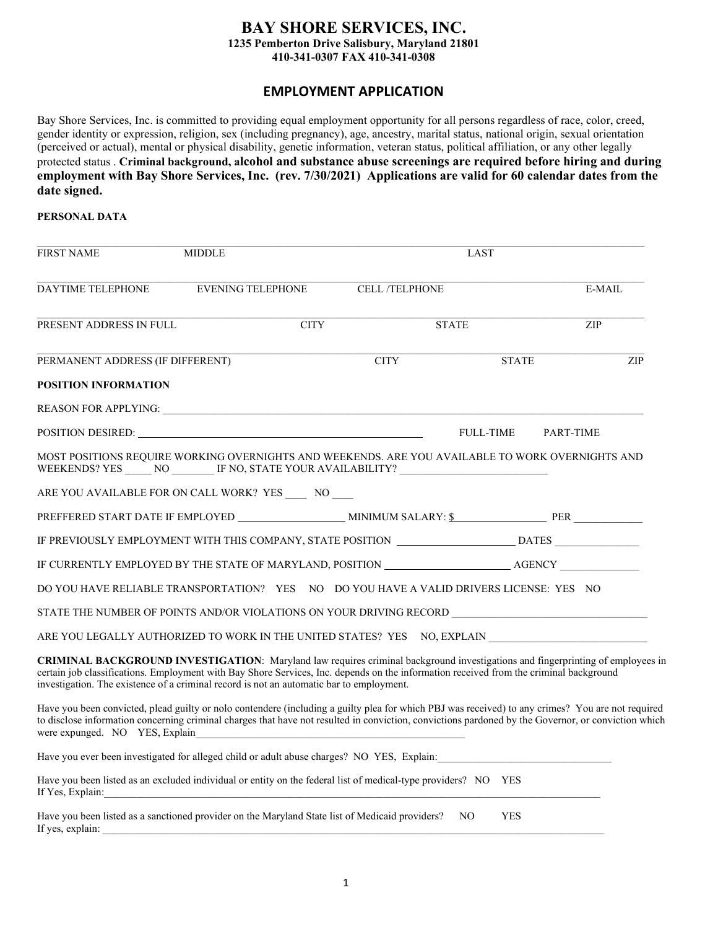### **BAY SHORE SERVICES, INC. 1235 Pemberton Drive Salisbury, Maryland 21801 410-341-0307 FAX 410-341-0308**

## **EMPLOYMENT APPLICATION**

Bay Shore Services, Inc. is committed to providing equal employment opportunity for all persons regardless of race, color, creed, gender identity or expression, religion, sex (including pregnancy), age, ancestry, marital status, national origin, sexual orientation (perceived or actual), mental or physical disability, genetic information, veteran status, political affiliation, or any other legally protected status . **Criminal background, alcohol and substance abuse screenings are required before hiring and during employment with Bay Shore Services, Inc. (rev. 7/30/2021) Applications are valid for 60 calendar dates from the date signed.**

#### **PERSONAL DATA**

| <b>FIRST NAME</b>                | <b>MIDDLE</b>                                                                                                                                                                                                                                                                                                                                                        | LAST                 |                   |           |  |
|----------------------------------|----------------------------------------------------------------------------------------------------------------------------------------------------------------------------------------------------------------------------------------------------------------------------------------------------------------------------------------------------------------------|----------------------|-------------------|-----------|--|
| DAYTIME TELEPHONE                | <b>EVENING TELEPHONE</b>                                                                                                                                                                                                                                                                                                                                             | <b>CELL/TELPHONE</b> |                   | E-MAIL    |  |
| PRESENT ADDRESS IN FULL          | <b>CITY</b>                                                                                                                                                                                                                                                                                                                                                          | <b>STATE</b>         |                   | ZIP       |  |
| PERMANENT ADDRESS (IF DIFFERENT) |                                                                                                                                                                                                                                                                                                                                                                      | <b>CITY</b>          | <b>STATE</b>      | ZIP       |  |
| POSITION INFORMATION             |                                                                                                                                                                                                                                                                                                                                                                      |                      |                   |           |  |
|                                  |                                                                                                                                                                                                                                                                                                                                                                      |                      |                   |           |  |
|                                  | POSITION DESIRED:                                                                                                                                                                                                                                                                                                                                                    |                      | <b>FULL-TIME</b>  | PART-TIME |  |
|                                  | MOST POSITIONS REQUIRE WORKING OVERNIGHTS AND WEEKENDS. ARE YOU AVAILABLE TO WORK OVERNIGHTS AND<br>WEEKENDS? YES _______ NO _________ IF NO, STATE YOUR AVAILABILITY? ______________                                                                                                                                                                                |                      |                   |           |  |
|                                  | ARE YOU AVAILABLE FOR ON CALL WORK? YES NO                                                                                                                                                                                                                                                                                                                           |                      |                   |           |  |
|                                  |                                                                                                                                                                                                                                                                                                                                                                      |                      |                   |           |  |
|                                  | IF PREVIOUSLY EMPLOYMENT WITH THIS COMPANY, STATE POSITION __________________________DATES                                                                                                                                                                                                                                                                           |                      |                   |           |  |
|                                  |                                                                                                                                                                                                                                                                                                                                                                      |                      |                   |           |  |
|                                  | DO YOU HAVE RELIABLE TRANSPORTATION? YES NO DO YOU HAVE A VALID DRIVERS LICENSE: YES NO                                                                                                                                                                                                                                                                              |                      |                   |           |  |
|                                  | STATE THE NUMBER OF POINTS AND/OR VIOLATIONS ON YOUR DRIVING RECORD _______________________________                                                                                                                                                                                                                                                                  |                      |                   |           |  |
|                                  | ARE YOU LEGALLY AUTHORIZED TO WORK IN THE UNITED STATES? YES NO, EXPLAIN                                                                                                                                                                                                                                                                                             |                      |                   |           |  |
|                                  | CRIMINAL BACKGROUND INVESTIGATION: Maryland law requires criminal background investigations and fingerprinting of employees in<br>certain job classifications. Employment with Bay Shore Services, Inc. depends on the information received from the criminal background<br>investigation. The existence of a criminal record is not an automatic bar to employment. |                      |                   |           |  |
| were expunged. NO YES, Explain   | Have you been convicted, plead guilty or nolo contendere (including a guilty plea for which PBJ was received) to any crimes? You are not required<br>to disclose information concerning criminal charges that have not resulted in conviction, convictions pardoned by the Governor, or conviction which                                                             |                      |                   |           |  |
|                                  | Have you ever been investigated for alleged child or adult abuse charges? NO YES, Explain:                                                                                                                                                                                                                                                                           |                      |                   |           |  |
| If Yes, Explain:                 | Have you been listed as an excluded individual or entity on the federal list of medical-type providers? NO YES                                                                                                                                                                                                                                                       |                      |                   |           |  |
| If yes, explain:                 | Have you been listed as a sanctioned provider on the Maryland State list of Medicaid providers?                                                                                                                                                                                                                                                                      |                      | <b>YES</b><br>NO. |           |  |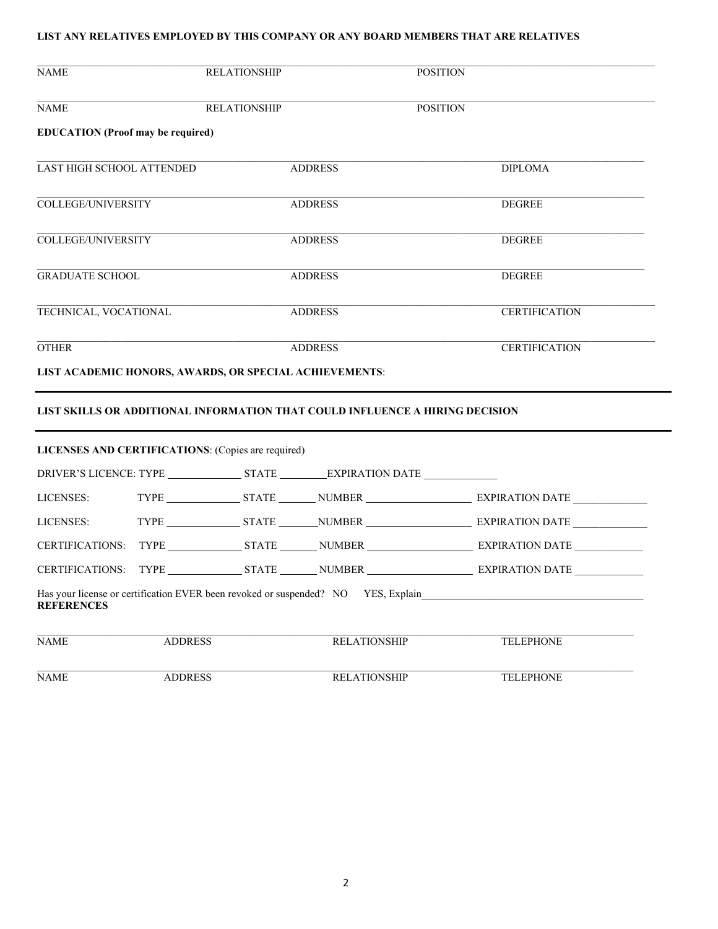### **LIST ANY RELATIVES EMPLOYED BY THIS COMPANY OR ANY BOARD MEMBERS THAT ARE RELATIVES**

| <b>NAME</b>                                            | <b>RELATIONSHIP</b> |  |                                                                                   | <b>POSITION</b>                                                              |
|--------------------------------------------------------|---------------------|--|-----------------------------------------------------------------------------------|------------------------------------------------------------------------------|
| <b>NAME</b>                                            | <b>RELATIONSHIP</b> |  |                                                                                   | <b>POSITION</b>                                                              |
| <b>EDUCATION</b> (Proof may be required)               |                     |  |                                                                                   |                                                                              |
| <b>LAST HIGH SCHOOL ATTENDED</b>                       |                     |  | <b>ADDRESS</b>                                                                    | <b>DIPLOMA</b>                                                               |
| <b>COLLEGE/UNIVERSITY</b>                              |                     |  | <b>ADDRESS</b>                                                                    | <b>DEGREE</b>                                                                |
| <b>COLLEGE/UNIVERSITY</b>                              |                     |  | <b>ADDRESS</b>                                                                    | <b>DEGREE</b>                                                                |
| <b>GRADUATE SCHOOL</b>                                 |                     |  | <b>ADDRESS</b>                                                                    | <b>DEGREE</b>                                                                |
| TECHNICAL, VOCATIONAL                                  |                     |  | <b>ADDRESS</b>                                                                    | <b>CERTIFICATION</b>                                                         |
| <b>OTHER</b>                                           |                     |  | <b>ADDRESS</b>                                                                    | <b>CERTIFICATION</b>                                                         |
| LIST ACADEMIC HONORS, AWARDS, OR SPECIAL ACHIEVEMENTS: |                     |  |                                                                                   |                                                                              |
|                                                        |                     |  |                                                                                   | LIST SKILLS OR ADDITIONAL INFORMATION THAT COULD INFLUENCE A HIRING DECISION |
| LICENSES AND CERTIFICATIONS: (Copies are required)     |                     |  |                                                                                   |                                                                              |
|                                                        |                     |  |                                                                                   |                                                                              |
| LICENSES:                                              |                     |  |                                                                                   |                                                                              |
| LICENSES:                                              |                     |  |                                                                                   |                                                                              |
| <b>CERTIFICATIONS:</b>                                 |                     |  |                                                                                   |                                                                              |
|                                                        |                     |  |                                                                                   |                                                                              |
| <b>REFERENCES</b>                                      |                     |  | Has your license or certification EVER been revoked or suspended? NO YES, Explain |                                                                              |
| <b>NAME</b>                                            | <b>ADDRESS</b>      |  | <b>RELATIONSHIP</b>                                                               | <b>TELEPHONE</b>                                                             |
| <b>NAME</b>                                            | <b>ADDRESS</b>      |  | <b>RELATIONSHIP</b>                                                               | <b>TELEPHONE</b>                                                             |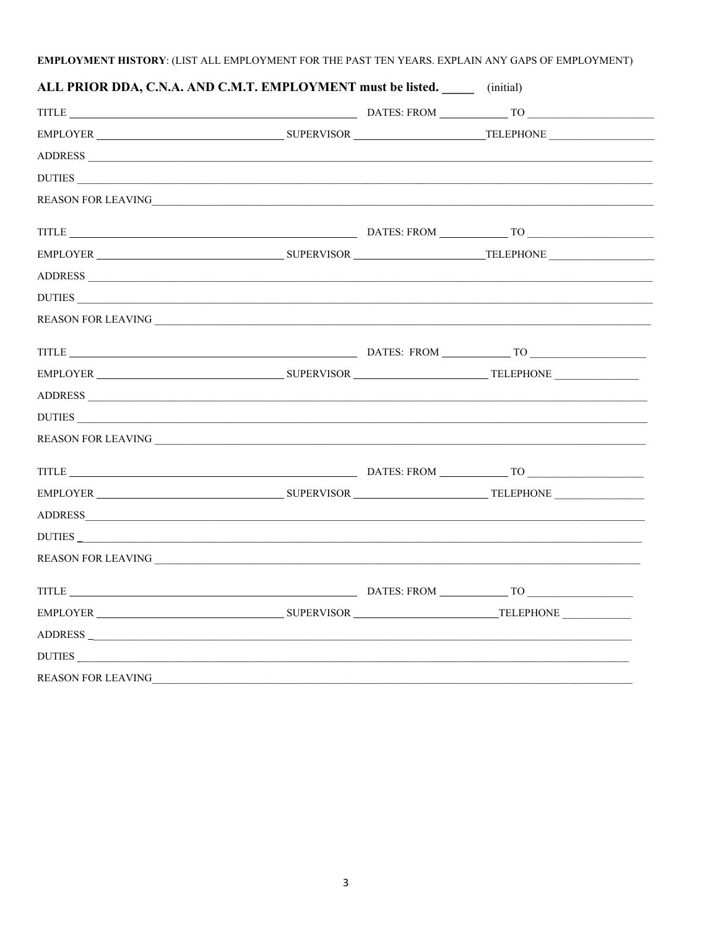# EMPLOYMENT HISTORY: (LIST ALL EMPLOYMENT FOR THE PAST TEN YEARS. EXPLAIN ANY GAPS OF EMPLOYMENT)

| ALL PRIOR DDA, C.N.A. AND C.M.T. EMPLOYMENT must be listed. ________ (initial) |  |  |
|--------------------------------------------------------------------------------|--|--|
|                                                                                |  |  |
|                                                                                |  |  |
|                                                                                |  |  |
| DUTIES                                                                         |  |  |
|                                                                                |  |  |
|                                                                                |  |  |
|                                                                                |  |  |
|                                                                                |  |  |
| DUTIES                                                                         |  |  |
|                                                                                |  |  |
|                                                                                |  |  |
|                                                                                |  |  |
|                                                                                |  |  |
| DUTIES                                                                         |  |  |
|                                                                                |  |  |
|                                                                                |  |  |
|                                                                                |  |  |
|                                                                                |  |  |
| DUTIES                                                                         |  |  |
|                                                                                |  |  |
|                                                                                |  |  |
|                                                                                |  |  |
| ADDRESS                                                                        |  |  |
| DUTIES                                                                         |  |  |
| REASON FOR LEAVING                                                             |  |  |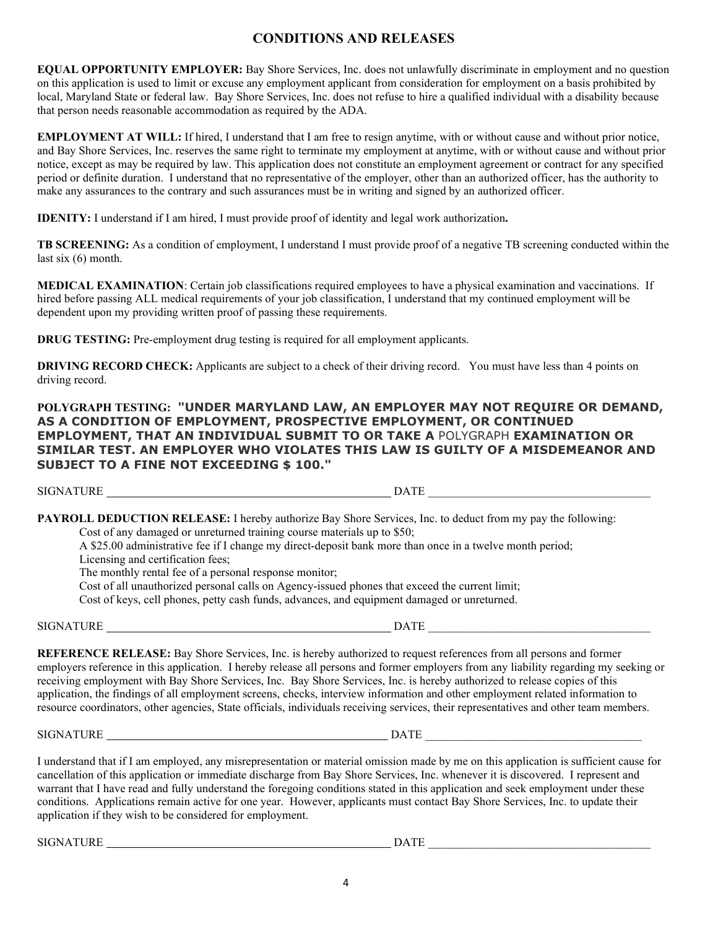# **CONDITIONS AND RELEASES**

**EQUAL OPPORTUNITY EMPLOYER:** Bay Shore Services, Inc. does not unlawfully discriminate in employment and no question on this application is used to limit or excuse any employment applicant from consideration for employment on a basis prohibited by local, Maryland State or federal law. Bay Shore Services, Inc. does not refuse to hire a qualified individual with a disability because that person needs reasonable accommodation as required by the ADA.

**EMPLOYMENT AT WILL:** If hired, I understand that I am free to resign anytime, with or without cause and without prior notice, and Bay Shore Services, Inc. reserves the same right to terminate my employment at anytime, with or without cause and without prior notice, except as may be required by law. This application does not constitute an employment agreement or contract for any specified period or definite duration. I understand that no representative of the employer, other than an authorized officer, has the authority to make any assurances to the contrary and such assurances must be in writing and signed by an authorized officer.

**IDENITY:** I understand if I am hired, I must provide proof of identity and legal work authorization**.** 

**TB SCREENING:** As a condition of employment, I understand I must provide proof of a negative TB screening conducted within the last six (6) month.

**MEDICAL EXAMINATION**: Certain job classifications required employees to have a physical examination and vaccinations. If hired before passing ALL medical requirements of your job classification, I understand that my continued employment will be dependent upon my providing written proof of passing these requirements.

**DRUG TESTING:** Pre-employment drug testing is required for all employment applicants.

**DRIVING RECORD CHECK:** Applicants are subject to a check of their driving record. You must have less than 4 points on driving record.

**POLYGRAPH TESTING: "UNDER MARYLAND LAW, AN EMPLOYER MAY NOT REQUIRE OR DEMAND, AS A CONDITION OF EMPLOYMENT, PROSPECTIVE EMPLOYMENT, OR CONTINUED EMPLOYMENT, THAT AN INDIVIDUAL SUBMIT TO OR TAKE A** POLYGRAPH **EXAMINATION OR SIMILAR TEST. AN EMPLOYER WHO VIOLATES THIS LAW IS GUILTY OF A MISDEMEANOR AND SUBJECT TO A FINE NOT EXCEEDING \$ 100."**

SIGNATURE DATE

**PAYROLL DEDUCTION RELEASE:** I hereby authorize Bay Shore Services, Inc. to deduct from my pay the following: Cost of any damaged or unreturned training course materials up to \$50; A \$25.00 administrative fee if I change my direct-deposit bank more than once in a twelve month period;

Licensing and certification fees;

The monthly rental fee of a personal response monitor;

Cost of all unauthorized personal calls on Agency-issued phones that exceed the current limit;

Cost of keys, cell phones, petty cash funds, advances, and equipment damaged or unreturned.

**SIGNATURE** 

**REFERENCE RELEASE:** Bay Shore Services, Inc. is hereby authorized to request references from all persons and former employers reference in this application. I hereby release all persons and former employers from any liability regarding my seeking or receiving employment with Bay Shore Services, Inc. Bay Shore Services, Inc. is hereby authorized to release copies of this application, the findings of all employment screens, checks, interview information and other employment related information to resource coordinators, other agencies, State officials, individuals receiving services, their representatives and other team members.

 $\_$  DATE  $\_$ 

SIGNATURE DATE DATE

I understand that if I am employed, any misrepresentation or material omission made by me on this application is sufficient cause for cancellation of this application or immediate discharge from Bay Shore Services, Inc. whenever it is discovered. I represent and warrant that I have read and fully understand the foregoing conditions stated in this application and seek employment under these conditions. Applications remain active for one year. However, applicants must contact Bay Shore Services, Inc. to update their application if they wish to be considered for employment.

SIGNATURE DATE \_\_\_\_\_\_\_\_\_\_\_\_\_\_\_\_\_\_\_\_\_\_\_\_\_\_\_\_\_\_\_\_\_\_\_\_\_\_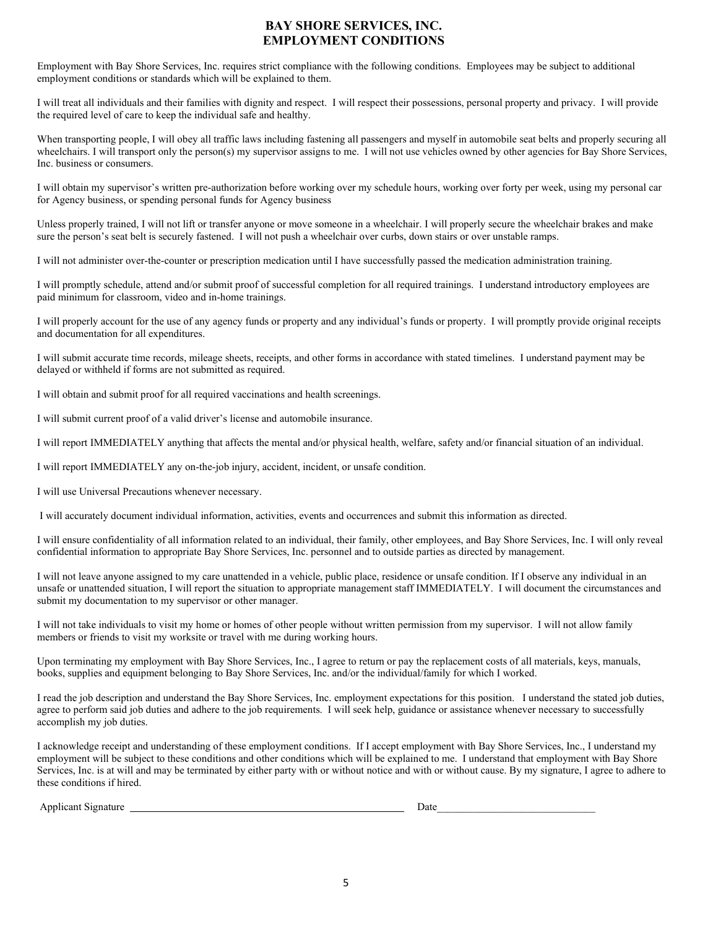### **BAY SHORE SERVICES, INC. EMPLOYMENT CONDITIONS**

Employment with Bay Shore Services, Inc. requires strict compliance with the following conditions. Employees may be subject to additional employment conditions or standards which will be explained to them.

I will treat all individuals and their families with dignity and respect. I will respect their possessions, personal property and privacy. I will provide the required level of care to keep the individual safe and healthy.

When transporting people, I will obey all traffic laws including fastening all passengers and myself in automobile seat belts and properly securing all wheelchairs. I will transport only the person(s) my supervisor assigns to me. I will not use vehicles owned by other agencies for Bay Shore Services, Inc. business or consumers.

I will obtain my supervisor's written pre-authorization before working over my schedule hours, working over forty per week, using my personal car for Agency business, or spending personal funds for Agency business

Unless properly trained, I will not lift or transfer anyone or move someone in a wheelchair. I will properly secure the wheelchair brakes and make sure the person's seat belt is securely fastened. I will not push a wheelchair over curbs, down stairs or over unstable ramps.

I will not administer over-the-counter or prescription medication until I have successfully passed the medication administration training.

I will promptly schedule, attend and/or submit proof of successful completion for all required trainings. I understand introductory employees are paid minimum for classroom, video and in-home trainings.

I will properly account for the use of any agency funds or property and any individual's funds or property. I will promptly provide original receipts and documentation for all expenditures.

I will submit accurate time records, mileage sheets, receipts, and other forms in accordance with stated timelines. I understand payment may be delayed or withheld if forms are not submitted as required.

I will obtain and submit proof for all required vaccinations and health screenings.

I will submit current proof of a valid driver's license and automobile insurance.

I will report IMMEDIATELY anything that affects the mental and/or physical health, welfare, safety and/or financial situation of an individual.

I will report IMMEDIATELY any on-the-job injury, accident, incident, or unsafe condition.

I will use Universal Precautions whenever necessary.

I will accurately document individual information, activities, events and occurrences and submit this information as directed.

I will ensure confidentiality of all information related to an individual, their family, other employees, and Bay Shore Services, Inc. I will only reveal confidential information to appropriate Bay Shore Services, Inc. personnel and to outside parties as directed by management.

I will not leave anyone assigned to my care unattended in a vehicle, public place, residence or unsafe condition. If I observe any individual in an unsafe or unattended situation, I will report the situation to appropriate management staff IMMEDIATELY. I will document the circumstances and submit my documentation to my supervisor or other manager.

I will not take individuals to visit my home or homes of other people without written permission from my supervisor. I will not allow family members or friends to visit my worksite or travel with me during working hours.

Upon terminating my employment with Bay Shore Services, Inc., I agree to return or pay the replacement costs of all materials, keys, manuals, books, supplies and equipment belonging to Bay Shore Services, Inc. and/or the individual/family for which I worked.

I read the job description and understand the Bay Shore Services, Inc. employment expectations for this position. I understand the stated job duties, agree to perform said job duties and adhere to the job requirements. I will seek help, guidance or assistance whenever necessary to successfully accomplish my job duties.

I acknowledge receipt and understanding of these employment conditions. If I accept employment with Bay Shore Services, Inc., I understand my employment will be subject to these conditions and other conditions which will be explained to me. I understand that employment with Bay Shore Services, Inc. is at will and may be terminated by either party with or without notice and with or without cause. By my signature, I agree to adhere to these conditions if hired.

Applicant Signature **Date**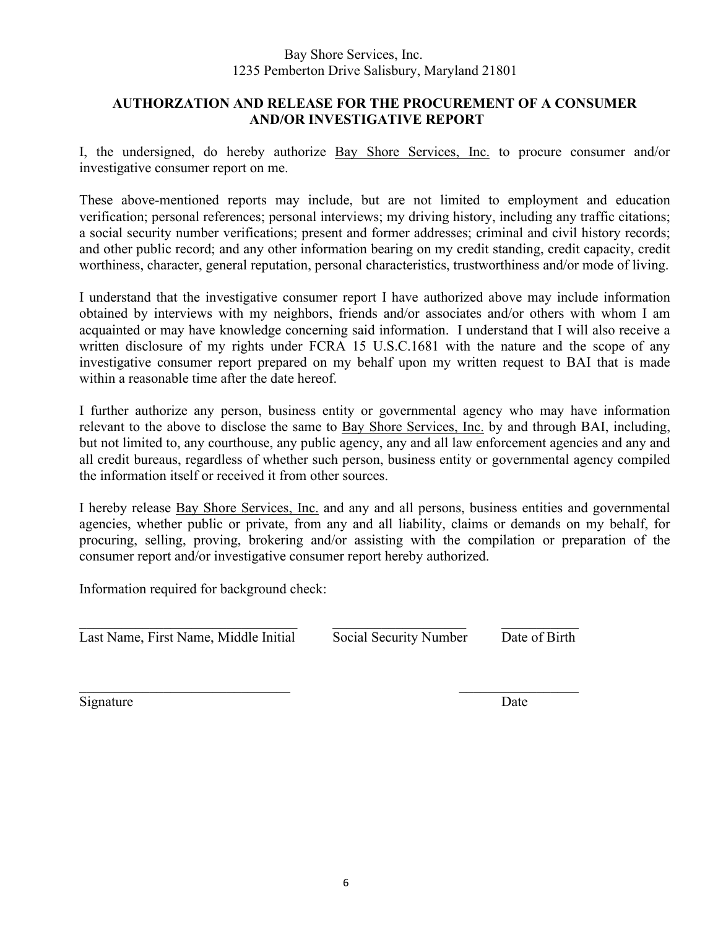## Bay Shore Services, Inc. 1235 Pemberton Drive Salisbury, Maryland 21801

# **AUTHORZATION AND RELEASE FOR THE PROCUREMENT OF A CONSUMER AND/OR INVESTIGATIVE REPORT**

I, the undersigned, do hereby authorize Bay Shore Services, Inc. to procure consumer and/or investigative consumer report on me.

These above-mentioned reports may include, but are not limited to employment and education verification; personal references; personal interviews; my driving history, including any traffic citations; a social security number verifications; present and former addresses; criminal and civil history records; and other public record; and any other information bearing on my credit standing, credit capacity, credit worthiness, character, general reputation, personal characteristics, trustworthiness and/or mode of living.

I understand that the investigative consumer report I have authorized above may include information obtained by interviews with my neighbors, friends and/or associates and/or others with whom I am acquainted or may have knowledge concerning said information. I understand that I will also receive a written disclosure of my rights under FCRA 15 U.S.C.1681 with the nature and the scope of any investigative consumer report prepared on my behalf upon my written request to BAI that is made within a reasonable time after the date hereof.

I further authorize any person, business entity or governmental agency who may have information relevant to the above to disclose the same to Bay Shore Services, Inc. by and through BAI, including, but not limited to, any courthouse, any public agency, any and all law enforcement agencies and any and all credit bureaus, regardless of whether such person, business entity or governmental agency compiled the information itself or received it from other sources.

I hereby release **Bay Shore Services**, Inc. and any and all persons, business entities and governmental agencies, whether public or private, from any and all liability, claims or demands on my behalf, for procuring, selling, proving, brokering and/or assisting with the compilation or preparation of the consumer report and/or investigative consumer report hereby authorized.

Information required for background check:

Last Name, First Name, Middle Initial Social Security Number Date of Birth

 $\_$  ,  $\_$  ,  $\_$  ,  $\_$  ,  $\_$  ,  $\_$  ,  $\_$  ,  $\_$  ,  $\_$  ,  $\_$  ,  $\_$  ,  $\_$  ,  $\_$  ,  $\_$  ,  $\_$  ,  $\_$  ,  $\_$  ,  $\_$  ,  $\_$ 

Signature Date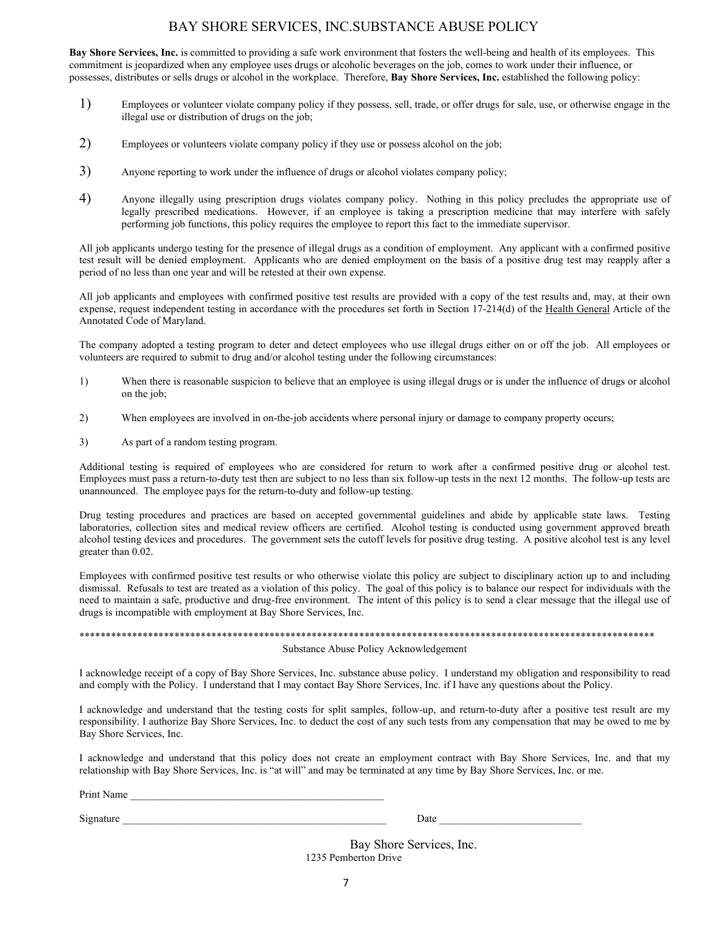## BAY SHORE SERVICES, INC.SUBSTANCE ABUSE POLICY

**Bay Shore Services, Inc.** is committed to providing a safe work environment that fosters the well-being and health of its employees. This commitment is jeopardized when any employee uses drugs or alcoholic beverages on the job, comes to work under their influence, or possesses, distributes or sells drugs or alcohol in the workplace. Therefore, **Bay Shore Services, Inc.** established the following policy:

- 1) Employees or volunteer violate company policy if they possess, sell, trade, or offer drugs for sale, use, or otherwise engage in the illegal use or distribution of drugs on the job;
- 2) Employees or volunteers violate company policy if they use or possess alcohol on the job;
- 3) Anyone reporting to work under the influence of drugs or alcohol violates company policy;
- 4) Anyone illegally using prescription drugs violates company policy. Nothing in this policy precludes the appropriate use of legally prescribed medications. However, if an employee is taking a prescription medicine that may interfere with safely performing job functions, this policy requires the employee to report this fact to the immediate supervisor.

All job applicants undergo testing for the presence of illegal drugs as a condition of employment. Any applicant with a confirmed positive test result will be denied employment. Applicants who are denied employment on the basis of a positive drug test may reapply after a period of no less than one year and will be retested at their own expense.

All job applicants and employees with confirmed positive test results are provided with a copy of the test results and, may, at their own expense, request independent testing in accordance with the procedures set forth in Section 17-214(d) of the Health General Article of the Annotated Code of Maryland.

The company adopted a testing program to deter and detect employees who use illegal drugs either on or off the job. All employees or volunteers are required to submit to drug and/or alcohol testing under the following circumstances:

- 1) When there is reasonable suspicion to believe that an employee is using illegal drugs or is under the influence of drugs or alcohol on the job;
- 2) When employees are involved in on-the-job accidents where personal injury or damage to company property occurs;
- 3) As part of a random testing program.

Additional testing is required of employees who are considered for return to work after a confirmed positive drug or alcohol test. Employees must pass a return-to-duty test then are subject to no less than six follow-up tests in the next 12 months. The follow-up tests are unannounced. The employee pays for the return-to-duty and follow-up testing.

Drug testing procedures and practices are based on accepted governmental guidelines and abide by applicable state laws. Testing laboratories, collection sites and medical review officers are certified. Alcohol testing is conducted using government approved breath alcohol testing devices and procedures. The government sets the cutoff levels for positive drug testing. A positive alcohol test is any level greater than 0.02.

Employees with confirmed positive test results or who otherwise violate this policy are subject to disciplinary action up to and including dismissal. Refusals to test are treated as a violation of this policy. The goal of this policy is to balance our respect for individuals with the need to maintain a safe, productive and drug-free environment. The intent of this policy is to send a clear message that the illegal use of drugs is incompatible with employment at Bay Shore Services, Inc.

### \*\*\*\*\*\*\*\*\*\*\*\*\*\*\*\*\*\*\*\*\*\*\*\*\*\*\*\*\*\*\*\*\*\*\*\*\*\*\*\*\*\*\*\*\*\*\*\*\*\*\*\*\*\*\*\*\*\*\*\*\*\*\*\*\*\*\*\*\*\*\*\*\*\*\*\*\*\*\*\*\*\*\*\*\*\*\*\*\*\*\*\*\*\*\*\*\*\*\*\*\*\*\*\*\*\*\*\*\*

#### Substance Abuse Policy Acknowledgement

I acknowledge receipt of a copy of Bay Shore Services, Inc. substance abuse policy. I understand my obligation and responsibility to read and comply with the Policy. I understand that I may contact Bay Shore Services, Inc. if I have any questions about the Policy.

I acknowledge and understand that the testing costs for split samples, follow-up, and return-to-duty after a positive test result are my responsibility. I authorize Bay Shore Services, Inc. to deduct the cost of any such tests from any compensation that may be owed to me by Bay Shore Services, Inc.

I acknowledge and understand that this policy does not create an employment contract with Bay Shore Services, Inc. and that my relationship with Bay Shore Services, Inc. is "at will" and may be terminated at any time by Bay Shore Services, Inc. or me.

Print Name

Signature \_\_\_\_\_\_\_\_\_\_\_\_\_\_\_\_\_\_\_\_\_\_\_\_\_\_\_\_\_\_\_\_\_\_\_\_\_\_\_\_\_\_\_\_\_\_\_\_\_\_ Date \_\_\_\_\_\_\_\_\_\_\_\_\_\_\_\_\_\_\_\_\_\_\_\_\_\_\_

 Bay Shore Services, Inc. 1235 Pemberton Drive